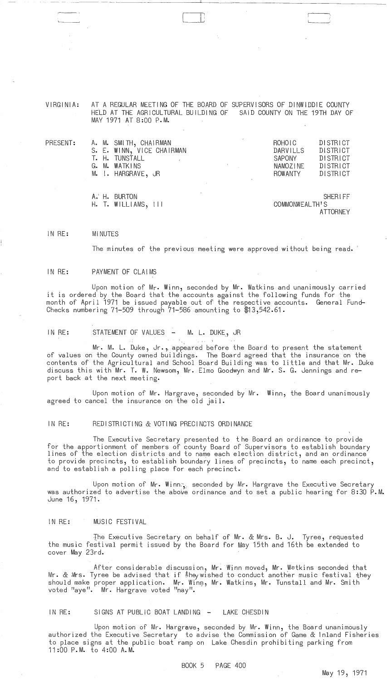#### VIRGINIA: AT A REGULAR MEETING OF THE BOARD OF SUPERVISORS OF DINWIDDIE COUNTY HELD AT THE AGRICULTURAL BUILDING OF SAID COUNTY ON THE 19TH DAY OF MAY 1971 AT 8:00 P.M.

------- --------------------"-------------------

| PRESENT: | A. M. SMITH, CHAIRMAN<br>S. E. WINN, VICE CHAIRMAN<br>T. H. TUNSTALL<br>G. M. WATKINS<br>M. I. HARGRAVE, JR | ROHOLC<br><b>DISTRICT</b><br>DISTRICT<br>DARVILLS<br>DISTRICT<br><b>SAPONY</b><br>DISTRICT<br>NAMOZINE<br>DISTRICT<br>ROWANTY |
|----------|-------------------------------------------------------------------------------------------------------------|-------------------------------------------------------------------------------------------------------------------------------|
|          | A. H. BURTON<br>$H.$ T. WILLIAMS, $111$                                                                     | <b>SHERIFF</b><br>COMMONWEALTH'S                                                                                              |

ATTORNEY

#### IN RE: MINUTES

The minutes of the previous meeting were approved without being read.

#### IN RE: PAYMENT OF CLAIMS

Upon motion of Mr. Winn, seconded by Mr. Watkins and unanimously carried it is ordered by the Board that the accounts against the following funds for the month of April 1971 be issued payable out of the respective accounts. General Fund-Checks numbering 71-509 through 71-586 amounting to \$13,542.61.

## IN RE: STATEMENT OF VALUES - M. L. DUKE, JR

Mr. M. L. Duke, Jr., appeared before the Board to present the statement of values on the County owned buildings. The Board agreed that the insurance on the contents of the Agricultural and School Board Building was to little and that Mr. Duke discuss this with Mr. T. W. Newsom, Mr. Elmo Goodwyn and Mr. S. G. Jennings and report back at the next meeting.

Upon motion of Mr. Hargrave, seconded by Mr. Winn, the Board unanimously agreed to cancel the insurance on the old jail.

### IN RE: REDISTRICTING & VOTING PRECINCTS ORDINANCE

The Executive Secretary presented to the Board an ordinance to provide for the apportionment of members of county Board of Supervisors to establish boundary<br>lines of the election districts and to name each election district, and an ordinance to provide precincts, to establish boundary lines of precincts, to name each precinct, and to establish a polling place for each precinct.

Upon motion of Mr. Winn $\gamma$  seconded by Mr. Hargrave the Executive Secretary was authorized to advertise the above ordinance and to set a public hearing for 8:30 P.M. June 16, 1971.

### IN RE: MUSIC FESTIVAL

The Executive Secretary on behalf of Mr. & Mrs. B. J. Tyree, requested the music festival permit issued by the Board for May 15th and 16th be extended to cover May 23rd.

After considerable discussion, Mr. Winn moved, Mr. Watkins seconded that Mr. & Mrs. Tyree be advised that if \$heywished to conduct another music festival \$hey should make proper application. Mr. Winn, Mr. Watkins, Mr. Tunstall and Mr. Smith voted "aye". Mr. Hargrave voted "nay".

# IN RE: SIGNS AT PUBLIC BOAT LANDING - LAKE CHESDIN

Upon motion of Mr. Hargrave, seconded by Mr. Winn, the Board unanimously authorized the Executive Secretary to advise the Commission of Game & Inland Fisheries to place signs at the public boat ramp on Lake Chesdin prohibiting parking from 11:00 P.M. to 4:00 A.M.